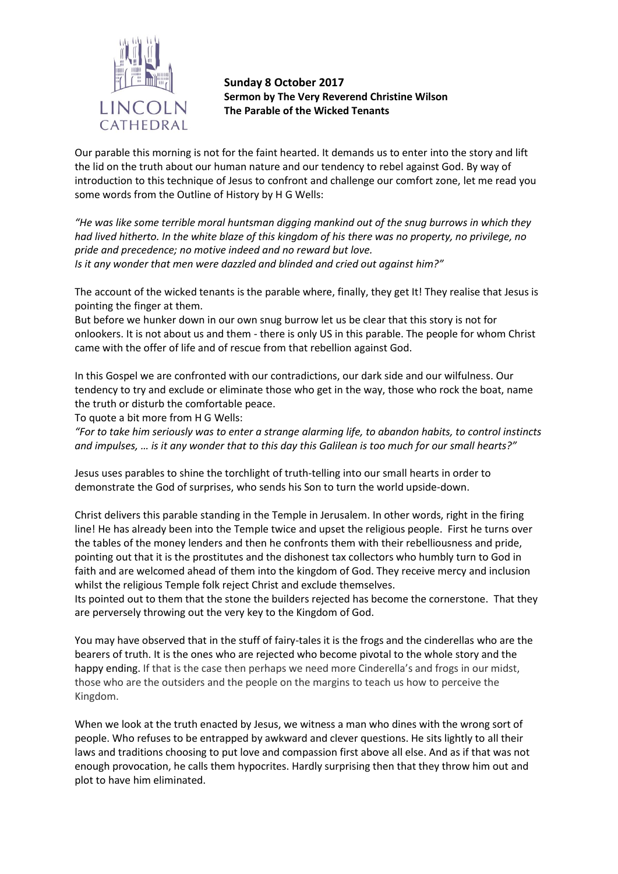

**Sunday 8 October 2017 Sermon by The Very Reverend Christine Wilson The Parable of the Wicked Tenants**

Our parable this morning is not for the faint hearted. It demands us to enter into the story and lift the lid on the truth about our human nature and our tendency to rebel against God. By way of introduction to this technique of Jesus to confront and challenge our comfort zone, let me read you some words from the Outline of History by H G Wells:

*"He was like some terrible moral huntsman digging mankind out of the snug burrows in which they had lived hitherto. In the white blaze of this kingdom of his there was no property, no privilege, no pride and precedence; no motive indeed and no reward but love. Is it any wonder that men were dazzled and blinded and cried out against him?"*

The account of the wicked tenants is the parable where, finally, they get It! They realise that Jesus is pointing the finger at them.

But before we hunker down in our own snug burrow let us be clear that this story is not for onlookers. It is not about us and them - there is only US in this parable. The people for whom Christ came with the offer of life and of rescue from that rebellion against God.

In this Gospel we are confronted with our contradictions, our dark side and our wilfulness. Our tendency to try and exclude or eliminate those who get in the way, those who rock the boat, name the truth or disturb the comfortable peace.

To quote a bit more from H G Wells:

*"For to take him seriously was to enter a strange alarming life, to abandon habits, to control instincts and impulses, … is it any wonder that to this day this Galilean is too much for our small hearts?"*

Jesus uses parables to shine the torchlight of truth-telling into our small hearts in order to demonstrate the God of surprises, who sends his Son to turn the world upside-down.

Christ delivers this parable standing in the Temple in Jerusalem. In other words, right in the firing line! He has already been into the Temple twice and upset the religious people. First he turns over the tables of the money lenders and then he confronts them with their rebelliousness and pride, pointing out that it is the prostitutes and the dishonest tax collectors who humbly turn to God in faith and are welcomed ahead of them into the kingdom of God. They receive mercy and inclusion whilst the religious Temple folk reject Christ and exclude themselves.

Its pointed out to them that the stone the builders rejected has become the cornerstone. That they are perversely throwing out the very key to the Kingdom of God.

You may have observed that in the stuff of fairy-tales it is the frogs and the cinderellas who are the bearers of truth. It is the ones who are rejected who become pivotal to the whole story and the happy ending. If that is the case then perhaps we need more Cinderella's and frogs in our midst, those who are the outsiders and the people on the margins to teach us how to perceive the Kingdom.

When we look at the truth enacted by Jesus, we witness a man who dines with the wrong sort of people. Who refuses to be entrapped by awkward and clever questions. He sits lightly to all their laws and traditions choosing to put love and compassion first above all else. And as if that was not enough provocation, he calls them hypocrites. Hardly surprising then that they throw him out and plot to have him eliminated.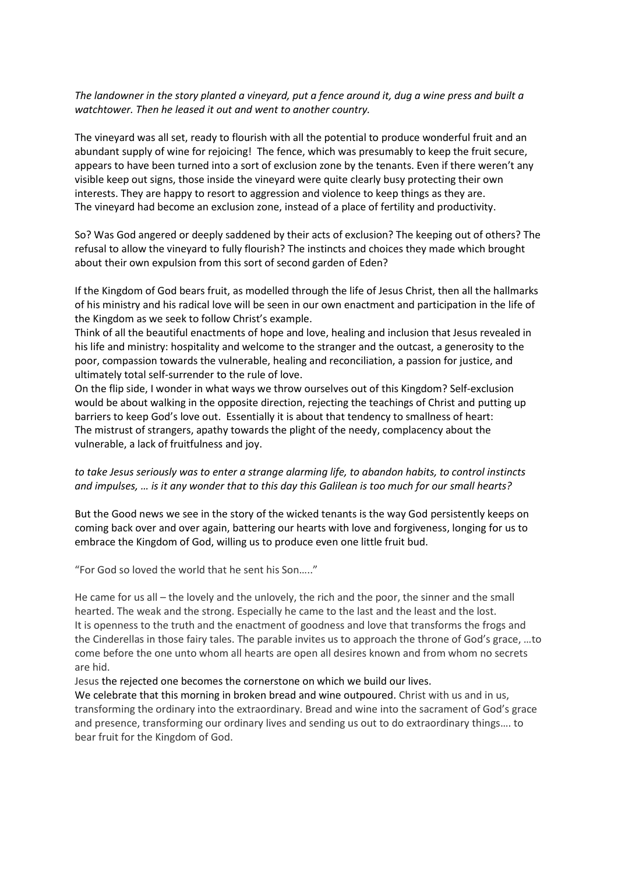## *The landowner in the story planted a vineyard, put a fence around it, dug a wine press and built a watchtower. Then he leased it out and went to another country.*

The vineyard was all set, ready to flourish with all the potential to produce wonderful fruit and an abundant supply of wine for rejoicing! The fence, which was presumably to keep the fruit secure, appears to have been turned into a sort of exclusion zone by the tenants. Even if there weren't any visible keep out signs, those inside the vineyard were quite clearly busy protecting their own interests. They are happy to resort to aggression and violence to keep things as they are. The vineyard had become an exclusion zone, instead of a place of fertility and productivity.

So? Was God angered or deeply saddened by their acts of exclusion? The keeping out of others? The refusal to allow the vineyard to fully flourish? The instincts and choices they made which brought about their own expulsion from this sort of second garden of Eden?

If the Kingdom of God bears fruit, as modelled through the life of Jesus Christ, then all the hallmarks of his ministry and his radical love will be seen in our own enactment and participation in the life of the Kingdom as we seek to follow Christ's example.

Think of all the beautiful enactments of hope and love, healing and inclusion that Jesus revealed in his life and ministry: hospitality and welcome to the stranger and the outcast, a generosity to the poor, compassion towards the vulnerable, healing and reconciliation, a passion for justice, and ultimately total self-surrender to the rule of love.

On the flip side, I wonder in what ways we throw ourselves out of this Kingdom? Self-exclusion would be about walking in the opposite direction, rejecting the teachings of Christ and putting up barriers to keep God's love out. Essentially it is about that tendency to smallness of heart: The mistrust of strangers, apathy towards the plight of the needy, complacency about the vulnerable, a lack of fruitfulness and joy.

## *to take Jesus seriously was to enter a strange alarming life, to abandon habits, to control instincts and impulses, … is it any wonder that to this day this Galilean is too much for our small hearts?*

But the Good news we see in the story of the wicked tenants is the way God persistently keeps on coming back over and over again, battering our hearts with love and forgiveness, longing for us to embrace the Kingdom of God, willing us to produce even one little fruit bud.

"For God so loved the world that he sent his Son….."

He came for us all – the lovely and the unlovely, the rich and the poor, the sinner and the small hearted. The weak and the strong. Especially he came to the last and the least and the lost. It is openness to the truth and the enactment of goodness and love that transforms the frogs and the Cinderellas in those fairy tales. The parable invites us to approach the throne of God's grace, …to come before the one unto whom all hearts are open all desires known and from whom no secrets are hid.

## Jesus the rejected one becomes the cornerstone on which we build our lives.

We celebrate that this morning in broken bread and wine outpoured. Christ with us and in us, transforming the ordinary into the extraordinary. Bread and wine into the sacrament of God's grace and presence, transforming our ordinary lives and sending us out to do extraordinary things…. to bear fruit for the Kingdom of God.